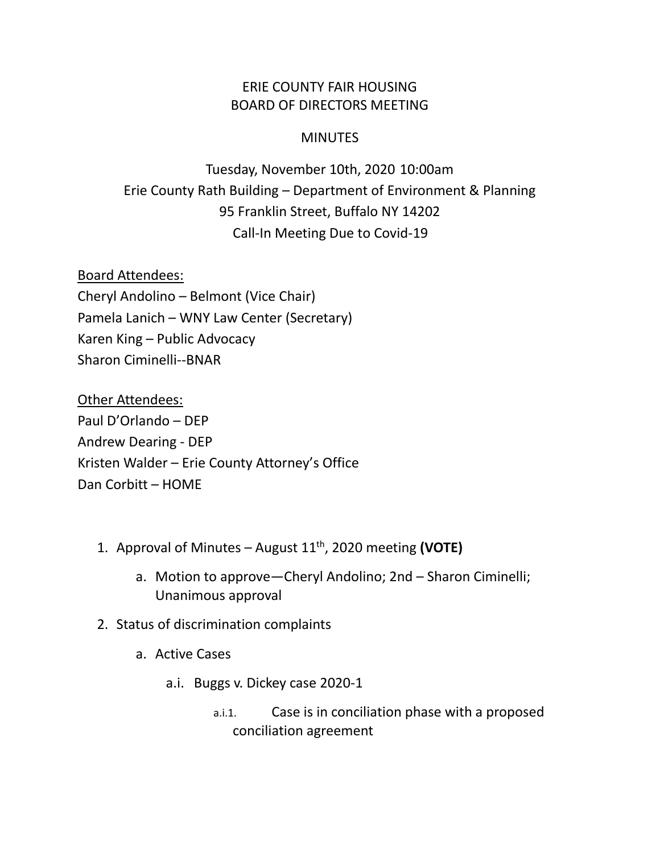## ERIE COUNTY FAIR HOUSING BOARD OF DIRECTORS MEETING

## **MINUTES**

Tuesday, November 10th, 2020 10:00am Erie County Rath Building – Department of Environment & Planning 95 Franklin Street, Buffalo NY 14202 Call-In Meeting Due to Covid-19

Board Attendees: Cheryl Andolino – Belmont (Vice Chair) Pamela Lanich – WNY Law Center (Secretary) Karen King – Public Advocacy Sharon Ciminelli--BNAR

Other Attendees: Paul D'Orlando – DEP Andrew Dearing - DEP Kristen Walder – Erie County Attorney's Office Dan Corbitt – HOME

- 1. Approval of Minutes August 11th, 2020 meeting **(VOTE)**
	- a. Motion to approve—Cheryl Andolino; 2nd Sharon Ciminelli; Unanimous approval
- 2. Status of discrimination complaints
	- a. Active Cases
		- a.i. Buggs v. Dickey case 2020-1
			- a.i.1. Case is in conciliation phase with a proposed conciliation agreement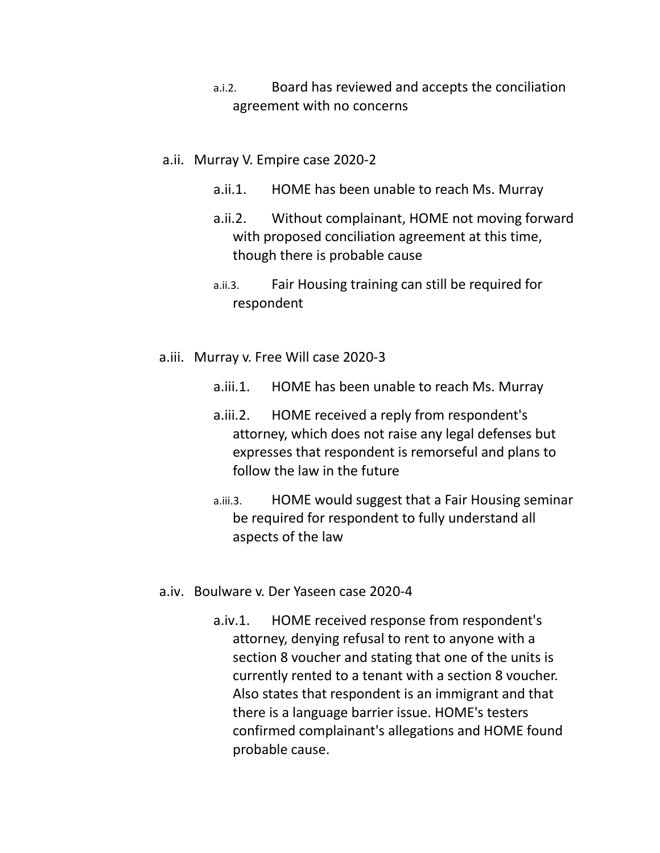- a.i.2. Board has reviewed and accepts the conciliation agreement with no concerns
- a.ii. Murray V. Empire case 2020-2
	- a.ii.1. HOME has been unable to reach Ms. Murray
	- a.ii.2. Without complainant, HOME not moving forward with proposed conciliation agreement at this time, though there is probable cause
	- a.ii.3. Fair Housing training can still be required for respondent
- a.iii. Murray v. Free Will case 2020-3
	- a.iii.1. HOME has been unable to reach Ms. Murray
	- a.iii.2. HOME received a reply from respondent's attorney, which does not raise any legal defenses but expresses that respondent is remorseful and plans to follow the law in the future
	- a.iii.3. HOME would suggest that a Fair Housing seminar be required for respondent to fully understand all aspects of the law
- a.iv. Boulware v. Der Yaseen case 2020-4
	- a.iv.1. HOME received response from respondent's attorney, denying refusal to rent to anyone with a section 8 voucher and stating that one of the units is currently rented to a tenant with a section 8 voucher. Also states that respondent is an immigrant and that there is a language barrier issue. HOME's testers confirmed complainant's allegations and HOME found probable cause.